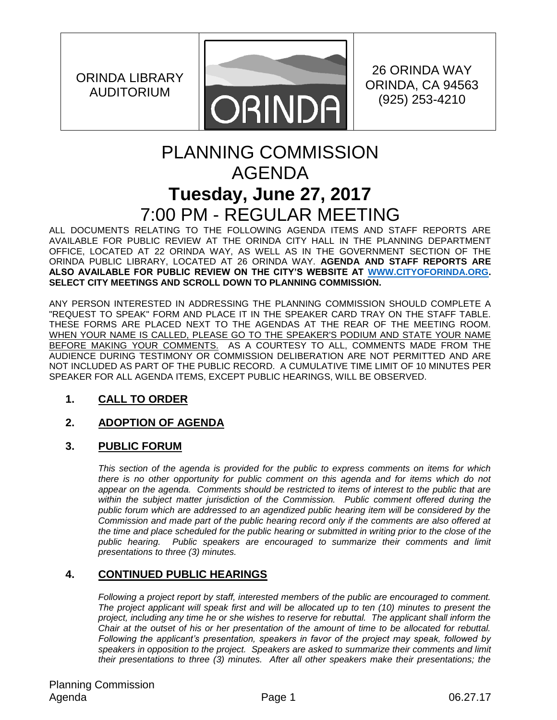ORINDA LIBRARY AUDITORIUM



26 ORINDA WAY ORINDA, CA 94563 (925) 253-4210

# PLANNING COMMISSION AGENDA **Tuesday, June 27, 2017** 7:00 PM - REGULAR MEETING

ALL DOCUMENTS RELATING TO THE FOLLOWING AGENDA ITEMS AND STAFF REPORTS ARE AVAILABLE FOR PUBLIC REVIEW AT THE ORINDA CITY HALL IN THE PLANNING DEPARTMENT OFFICE, LOCATED AT 22 ORINDA WAY, AS WELL AS IN THE GOVERNMENT SECTION OF THE ORINDA PUBLIC LIBRARY, LOCATED AT 26 ORINDA WAY. **AGENDA AND STAFF REPORTS ARE ALSO AVAILABLE FOR PUBLIC REVIEW ON THE CITY'S WEBSITE AT [WWW.CITYOFORINDA.ORG.](http://www.cityoforinda.org/) SELECT CITY MEETINGS AND SCROLL DOWN TO PLANNING COMMISSION.** 

ANY PERSON INTERESTED IN ADDRESSING THE PLANNING COMMISSION SHOULD COMPLETE A "REQUEST TO SPEAK" FORM AND PLACE IT IN THE SPEAKER CARD TRAY ON THE STAFF TABLE. THESE FORMS ARE PLACED NEXT TO THE AGENDAS AT THE REAR OF THE MEETING ROOM. WHEN YOUR NAME IS CALLED, PLEASE GO TO THE SPEAKER'S PODIUM AND STATE YOUR NAME BEFORE MAKING YOUR COMMENTS. AS A COURTESY TO ALL, COMMENTS MADE FROM THE AUDIENCE DURING TESTIMONY OR COMMISSION DELIBERATION ARE NOT PERMITTED AND ARE NOT INCLUDED AS PART OF THE PUBLIC RECORD. A CUMULATIVE TIME LIMIT OF 10 MINUTES PER SPEAKER FOR ALL AGENDA ITEMS, EXCEPT PUBLIC HEARINGS, WILL BE OBSERVED.

## **1. CALL TO ORDER**

## **2. ADOPTION OF AGENDA**

## **3. PUBLIC FORUM**

*This section of the agenda is provided for the public to express comments on items for which there is no other opportunity for public comment on this agenda and for items which do not appear on the agenda. Comments should be restricted to items of interest to the public that are*  within the subject matter jurisdiction of the Commission. Public comment offered during the *public forum which are addressed to an agendized public hearing item will be considered by the Commission and made part of the public hearing record only if the comments are also offered at the time and place scheduled for the public hearing or submitted in writing prior to the close of the*  public hearing. Public speakers are encouraged to summarize their comments and limit *presentations to three (3) minutes.*

## **4. CONTINUED PUBLIC HEARINGS**

*Following a project report by staff, interested members of the public are encouraged to comment. The project applicant will speak first and will be allocated up to ten (10) minutes to present the project, including any time he or she wishes to reserve for rebuttal. The applicant shall inform the Chair at the outset of his or her presentation of the amount of time to be allocated for rebuttal. Following the applicant's presentation, speakers in favor of the project may speak, followed by speakers in opposition to the project. Speakers are asked to summarize their comments and limit their presentations to three (3) minutes. After all other speakers make their presentations; the*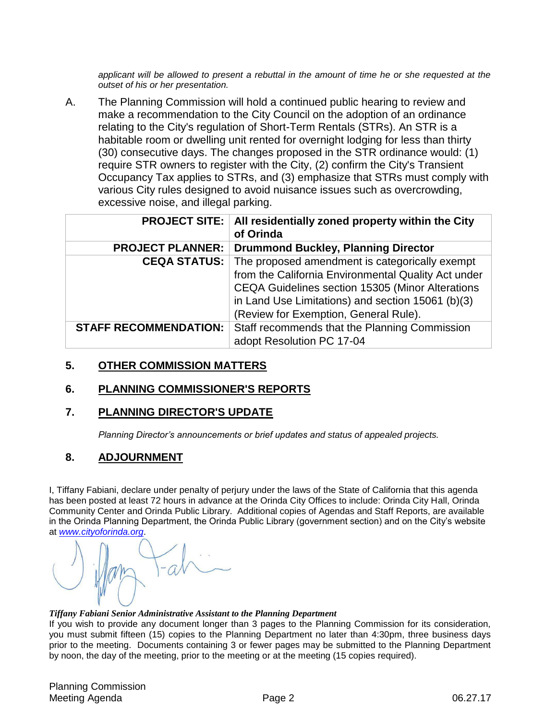*applicant will be allowed to present a rebuttal in the amount of time he or she requested at the outset of his or her presentation.*

A. The Planning Commission will hold a continued public hearing to review and make a recommendation to the City Council on the adoption of an ordinance relating to the City's regulation of Short-Term Rentals (STRs). An STR is a habitable room or dwelling unit rented for overnight lodging for less than thirty (30) consecutive days. The changes proposed in the STR ordinance would: (1) require STR owners to register with the City, (2) confirm the City's Transient Occupancy Tax applies to STRs, and (3) emphasize that STRs must comply with various City rules designed to avoid nuisance issues such as overcrowding, excessive noise, and illegal parking.

|                              | <b>PROJECT SITE:   All residentially zoned property within the City</b><br>of Orinda                                                                                                                                                                    |
|------------------------------|---------------------------------------------------------------------------------------------------------------------------------------------------------------------------------------------------------------------------------------------------------|
| <b>PROJECT PLANNER:</b>      | Drummond Buckley, Planning Director                                                                                                                                                                                                                     |
| <b>CEQA STATUS:</b>          | The proposed amendment is categorically exempt<br>from the California Environmental Quality Act under<br>CEQA Guidelines section 15305 (Minor Alterations<br>in Land Use Limitations) and section 15061 (b)(3)<br>(Review for Exemption, General Rule). |
| <b>STAFF RECOMMENDATION:</b> | Staff recommends that the Planning Commission<br>adopt Resolution PC 17-04                                                                                                                                                                              |

#### **5. OTHER COMMISSION MATTERS**

#### **6. PLANNING COMMISSIONER'S REPORTS**

#### **7. PLANNING DIRECTOR'S UPDATE**

*Planning Director's announcements or brief updates and status of appealed projects.*

### **8. ADJOURNMENT**

I, Tiffany Fabiani, declare under penalty of perjury under the laws of the State of California that this agenda has been posted at least 72 hours in advance at the Orinda City Offices to include: Orinda City Hall, Orinda Community Center and Orinda Public Library. Additional copies of Agendas and Staff Reports, are available in the Orinda Planning Department, the Orinda Public Library (government section) and on the City's website at *[www.cityoforinda.org](http://www.cityoforinda.org/)*.



#### *Tiffany Fabiani Senior Administrative Assistant to the Planning Department*

If you wish to provide any document longer than 3 pages to the Planning Commission for its consideration, you must submit fifteen (15) copies to the Planning Department no later than 4:30pm, three business days prior to the meeting. Documents containing 3 or fewer pages may be submitted to the Planning Department by noon, the day of the meeting, prior to the meeting or at the meeting (15 copies required).